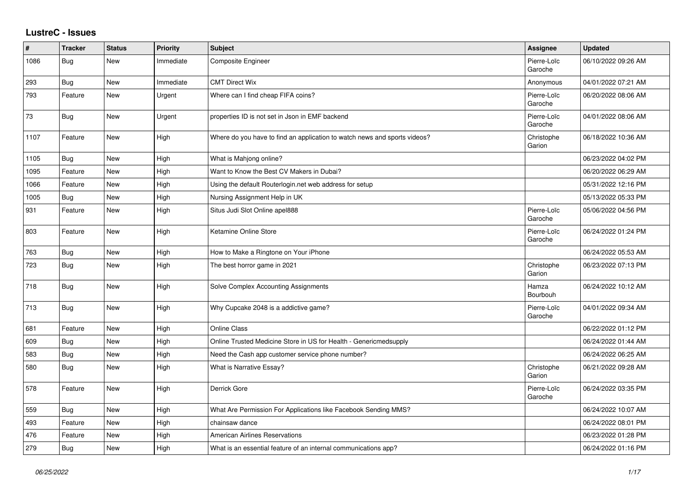## **LustreC - Issues**

| $\sharp$ | <b>Tracker</b> | <b>Status</b> | <b>Priority</b> | <b>Subject</b>                                                            | Assignee               | <b>Updated</b>      |
|----------|----------------|---------------|-----------------|---------------------------------------------------------------------------|------------------------|---------------------|
| 1086     | Bug            | New           | Immediate       | Composite Engineer                                                        | Pierre-Loïc<br>Garoche | 06/10/2022 09:26 AM |
| 293      | Bug            | <b>New</b>    | Immediate       | <b>CMT Direct Wix</b>                                                     | Anonymous              | 04/01/2022 07:21 AM |
| 793      | Feature        | New           | Urgent          | Where can I find cheap FIFA coins?                                        | Pierre-Loïc<br>Garoche | 06/20/2022 08:06 AM |
| 73       | Bug            | New           | Urgent          | properties ID is not set in Json in EMF backend                           | Pierre-Loïc<br>Garoche | 04/01/2022 08:06 AM |
| 1107     | Feature        | New           | High            | Where do you have to find an application to watch news and sports videos? | Christophe<br>Garion   | 06/18/2022 10:36 AM |
| 1105     | Bug            | <b>New</b>    | High            | What is Mahjong online?                                                   |                        | 06/23/2022 04:02 PM |
| 1095     | Feature        | New           | High            | Want to Know the Best CV Makers in Dubai?                                 |                        | 06/20/2022 06:29 AM |
| 1066     | Feature        | New           | High            | Using the default Routerlogin.net web address for setup                   |                        | 05/31/2022 12:16 PM |
| 1005     | Bug            | <b>New</b>    | High            | Nursing Assignment Help in UK                                             |                        | 05/13/2022 05:33 PM |
| 931      | Feature        | New           | High            | Situs Judi Slot Online apel888                                            | Pierre-Loïc<br>Garoche | 05/06/2022 04:56 PM |
| 803      | Feature        | New           | High            | Ketamine Online Store                                                     | Pierre-Loïc<br>Garoche | 06/24/2022 01:24 PM |
| 763      | <b>Bug</b>     | New           | High            | How to Make a Ringtone on Your iPhone                                     |                        | 06/24/2022 05:53 AM |
| 723      | Bug            | New           | High            | The best horror game in 2021                                              | Christophe<br>Garion   | 06/23/2022 07:13 PM |
| 718      | Bug            | New           | High            | Solve Complex Accounting Assignments                                      | Hamza<br>Bourbouh      | 06/24/2022 10:12 AM |
| 713      | Bug            | New           | High            | Why Cupcake 2048 is a addictive game?                                     | Pierre-Loïc<br>Garoche | 04/01/2022 09:34 AM |
| 681      | Feature        | New           | High            | <b>Online Class</b>                                                       |                        | 06/22/2022 01:12 PM |
| 609      | <b>Bug</b>     | New           | High            | Online Trusted Medicine Store in US for Health - Genericmedsupply         |                        | 06/24/2022 01:44 AM |
| 583      | <b>Bug</b>     | New           | High            | Need the Cash app customer service phone number?                          |                        | 06/24/2022 06:25 AM |
| 580      | Bug            | New           | High            | What is Narrative Essay?                                                  | Christophe<br>Garion   | 06/21/2022 09:28 AM |
| 578      | Feature        | New           | High            | Derrick Gore                                                              | Pierre-Loïc<br>Garoche | 06/24/2022 03:35 PM |
| 559      | Bug            | <b>New</b>    | High            | What Are Permission For Applications like Facebook Sending MMS?           |                        | 06/24/2022 10:07 AM |
| 493      | Feature        | <b>New</b>    | High            | chainsaw dance                                                            |                        | 06/24/2022 08:01 PM |
| 476      | Feature        | New           | High            | <b>American Airlines Reservations</b>                                     |                        | 06/23/2022 01:28 PM |
| 279      | Bug            | New           | High            | What is an essential feature of an internal communications app?           |                        | 06/24/2022 01:16 PM |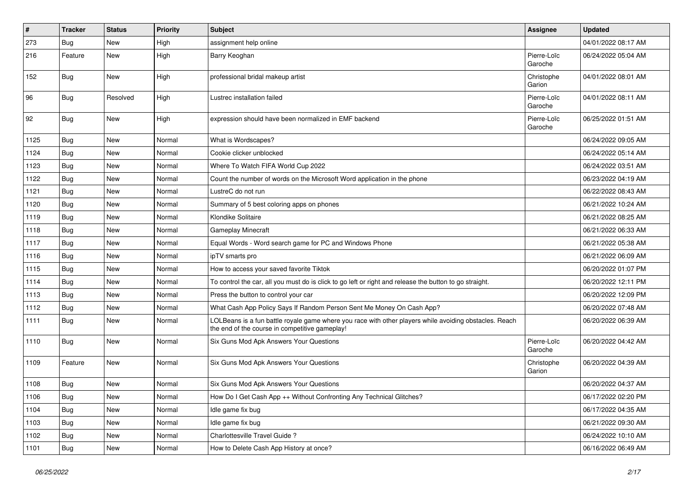| #    | <b>Tracker</b> | <b>Status</b> | <b>Priority</b> | <b>Subject</b>                                                                                                                                           | <b>Assignee</b>        | <b>Updated</b>      |
|------|----------------|---------------|-----------------|----------------------------------------------------------------------------------------------------------------------------------------------------------|------------------------|---------------------|
| 273  | <b>Bug</b>     | New           | High            | assignment help online                                                                                                                                   |                        | 04/01/2022 08:17 AM |
| 216  | Feature        | New           | High            | Barry Keoghan                                                                                                                                            | Pierre-Loïc<br>Garoche | 06/24/2022 05:04 AM |
| 152  | Bug            | New           | High            | professional bridal makeup artist                                                                                                                        | Christophe<br>Garion   | 04/01/2022 08:01 AM |
| 96   | Bug            | Resolved      | High            | Lustrec installation failed                                                                                                                              | Pierre-Loïc<br>Garoche | 04/01/2022 08:11 AM |
| 92   | <b>Bug</b>     | New           | High            | expression should have been normalized in EMF backend                                                                                                    | Pierre-Loïc<br>Garoche | 06/25/2022 01:51 AM |
| 1125 | <b>Bug</b>     | New           | Normal          | What is Wordscapes?                                                                                                                                      |                        | 06/24/2022 09:05 AM |
| 1124 | Bug            | New           | Normal          | Cookie clicker unblocked                                                                                                                                 |                        | 06/24/2022 05:14 AM |
| 1123 | <b>Bug</b>     | New           | Normal          | Where To Watch FIFA World Cup 2022                                                                                                                       |                        | 06/24/2022 03:51 AM |
| 1122 | Bug            | New           | Normal          | Count the number of words on the Microsoft Word application in the phone                                                                                 |                        | 06/23/2022 04:19 AM |
| 1121 | <b>Bug</b>     | New           | Normal          | LustreC do not run                                                                                                                                       |                        | 06/22/2022 08:43 AM |
| 1120 | Bug            | New           | Normal          | Summary of 5 best coloring apps on phones                                                                                                                |                        | 06/21/2022 10:24 AM |
| 1119 | Bug            | New           | Normal          | Klondike Solitaire                                                                                                                                       |                        | 06/21/2022 08:25 AM |
| 1118 | <b>Bug</b>     | New           | Normal          | Gameplay Minecraft                                                                                                                                       |                        | 06/21/2022 06:33 AM |
| 1117 | Bug            | New           | Normal          | Equal Words - Word search game for PC and Windows Phone                                                                                                  |                        | 06/21/2022 05:38 AM |
| 1116 | <b>Bug</b>     | New           | Normal          | ipTV smarts pro                                                                                                                                          |                        | 06/21/2022 06:09 AM |
| 1115 | Bug            | New           | Normal          | How to access your saved favorite Tiktok                                                                                                                 |                        | 06/20/2022 01:07 PM |
| 1114 | <b>Bug</b>     | New           | Normal          | To control the car, all you must do is click to go left or right and release the button to go straight.                                                  |                        | 06/20/2022 12:11 PM |
| 1113 | <b>Bug</b>     | New           | Normal          | Press the button to control your car                                                                                                                     |                        | 06/20/2022 12:09 PM |
| 1112 | Bug            | New           | Normal          | What Cash App Policy Says If Random Person Sent Me Money On Cash App?                                                                                    |                        | 06/20/2022 07:48 AM |
| 1111 | Bug            | New           | Normal          | LOLBeans is a fun battle royale game where you race with other players while avoiding obstacles. Reach<br>the end of the course in competitive gameplay! |                        | 06/20/2022 06:39 AM |
| 1110 | <b>Bug</b>     | New           | Normal          | Six Guns Mod Apk Answers Your Questions                                                                                                                  | Pierre-Loïc<br>Garoche | 06/20/2022 04:42 AM |
| 1109 | Feature        | New           | Normal          | Six Guns Mod Apk Answers Your Questions                                                                                                                  | Christophe<br>Garion   | 06/20/2022 04:39 AM |
| 1108 | <b>Bug</b>     | New           | Normal          | Six Guns Mod Apk Answers Your Questions                                                                                                                  |                        | 06/20/2022 04:37 AM |
| 1106 | <b>Bug</b>     | New           | Normal          | How Do I Get Cash App ++ Without Confronting Any Technical Glitches?                                                                                     |                        | 06/17/2022 02:20 PM |
| 1104 | Bug            | New           | Normal          | Idle game fix bug                                                                                                                                        |                        | 06/17/2022 04:35 AM |
| 1103 | Bug            | New           | Normal          | Idle game fix bug                                                                                                                                        |                        | 06/21/2022 09:30 AM |
| 1102 | Bug            | New           | Normal          | Charlottesville Travel Guide?                                                                                                                            |                        | 06/24/2022 10:10 AM |
| 1101 | <b>Bug</b>     | New           | Normal          | How to Delete Cash App History at once?                                                                                                                  |                        | 06/16/2022 06:49 AM |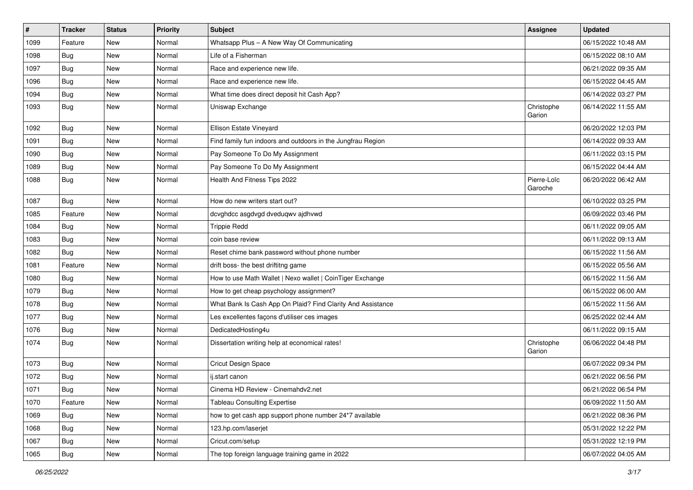| $\pmb{\#}$ | <b>Tracker</b> | <b>Status</b> | <b>Priority</b> | <b>Subject</b>                                              | Assignee               | <b>Updated</b>      |
|------------|----------------|---------------|-----------------|-------------------------------------------------------------|------------------------|---------------------|
| 1099       | Feature        | New           | Normal          | Whatsapp Plus - A New Way Of Communicating                  |                        | 06/15/2022 10:48 AM |
| 1098       | <b>Bug</b>     | New           | Normal          | Life of a Fisherman                                         |                        | 06/15/2022 08:10 AM |
| 1097       | <b>Bug</b>     | New           | Normal          | Race and experience new life.                               |                        | 06/21/2022 09:35 AM |
| 1096       | <b>Bug</b>     | New           | Normal          | Race and experience new life.                               |                        | 06/15/2022 04:45 AM |
| 1094       | <b>Bug</b>     | New           | Normal          | What time does direct deposit hit Cash App?                 |                        | 06/14/2022 03:27 PM |
| 1093       | Bug            | New           | Normal          | Uniswap Exchange                                            | Christophe<br>Garion   | 06/14/2022 11:55 AM |
| 1092       | Bug            | New           | Normal          | Ellison Estate Vineyard                                     |                        | 06/20/2022 12:03 PM |
| 1091       | Bug            | New           | Normal          | Find family fun indoors and outdoors in the Jungfrau Region |                        | 06/14/2022 09:33 AM |
| 1090       | Bug            | New           | Normal          | Pay Someone To Do My Assignment                             |                        | 06/11/2022 03:15 PM |
| 1089       | Bug            | New           | Normal          | Pay Someone To Do My Assignment                             |                        | 06/15/2022 04:44 AM |
| 1088       | <b>Bug</b>     | New           | Normal          | Health And Fitness Tips 2022                                | Pierre-Loïc<br>Garoche | 06/20/2022 06:42 AM |
| 1087       | Bug            | New           | Normal          | How do new writers start out?                               |                        | 06/10/2022 03:25 PM |
| 1085       | Feature        | New           | Normal          | dcvghdcc asgdvgd dveduqwv ajdhvwd                           |                        | 06/09/2022 03:46 PM |
| 1084       | Bug            | New           | Normal          | <b>Trippie Redd</b>                                         |                        | 06/11/2022 09:05 AM |
| 1083       | Bug            | New           | Normal          | coin base review                                            |                        | 06/11/2022 09:13 AM |
| 1082       | <b>Bug</b>     | New           | Normal          | Reset chime bank password without phone number              |                        | 06/15/2022 11:56 AM |
| 1081       | Feature        | New           | Normal          | drift boss- the best driftitng game                         |                        | 06/15/2022 05:56 AM |
| 1080       | <b>Bug</b>     | New           | Normal          | How to use Math Wallet   Nexo wallet   CoinTiger Exchange   |                        | 06/15/2022 11:56 AM |
| 1079       | Bug            | New           | Normal          | How to get cheap psychology assignment?                     |                        | 06/15/2022 06:00 AM |
| 1078       | <b>Bug</b>     | New           | Normal          | What Bank Is Cash App On Plaid? Find Clarity And Assistance |                        | 06/15/2022 11:56 AM |
| 1077       | Bug            | New           | Normal          | Les excellentes façons d'utiliser ces images                |                        | 06/25/2022 02:44 AM |
| 1076       | Bug            | New           | Normal          | DedicatedHosting4u                                          |                        | 06/11/2022 09:15 AM |
| 1074       | <b>Bug</b>     | New           | Normal          | Dissertation writing help at economical rates!              | Christophe<br>Garion   | 06/06/2022 04:48 PM |
| 1073       | Bug            | New           | Normal          | Cricut Design Space                                         |                        | 06/07/2022 09:34 PM |
| 1072       | <b>Bug</b>     | New           | Normal          | ij.start canon                                              |                        | 06/21/2022 06:56 PM |
| 1071       | Bug            | New           | Normal          | Cinema HD Review - Cinemahdv2.net                           |                        | 06/21/2022 06:54 PM |
| 1070       | Feature        | New           | Normal          | <b>Tableau Consulting Expertise</b>                         |                        | 06/09/2022 11:50 AM |
| 1069       | Bug            | New           | Normal          | how to get cash app support phone number 24*7 available     |                        | 06/21/2022 08:36 PM |
| 1068       | Bug            | New           | Normal          | 123.hp.com/laserjet                                         |                        | 05/31/2022 12:22 PM |
| 1067       | Bug            | New           | Normal          | Cricut.com/setup                                            |                        | 05/31/2022 12:19 PM |
| 1065       | Bug            | New           | Normal          | The top foreign language training game in 2022              |                        | 06/07/2022 04:05 AM |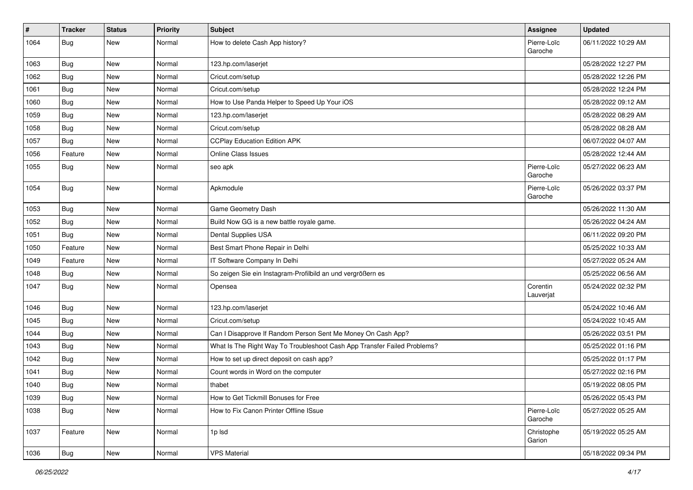| $\pmb{\#}$ | <b>Tracker</b> | <b>Status</b> | <b>Priority</b> | <b>Subject</b>                                                           | Assignee               | <b>Updated</b>      |
|------------|----------------|---------------|-----------------|--------------------------------------------------------------------------|------------------------|---------------------|
| 1064       | <b>Bug</b>     | New           | Normal          | How to delete Cash App history?                                          | Pierre-Loïc<br>Garoche | 06/11/2022 10:29 AM |
| 1063       | Bug            | New           | Normal          | 123.hp.com/laserjet                                                      |                        | 05/28/2022 12:27 PM |
| 1062       | Bug            | New           | Normal          | Cricut.com/setup                                                         |                        | 05/28/2022 12:26 PM |
| 1061       | Bug            | New           | Normal          | Cricut.com/setup                                                         |                        | 05/28/2022 12:24 PM |
| 1060       | <b>Bug</b>     | New           | Normal          | How to Use Panda Helper to Speed Up Your iOS                             |                        | 05/28/2022 09:12 AM |
| 1059       | <b>Bug</b>     | New           | Normal          | 123.hp.com/laserjet                                                      |                        | 05/28/2022 08:29 AM |
| 1058       | <b>Bug</b>     | New           | Normal          | Cricut.com/setup                                                         |                        | 05/28/2022 08:28 AM |
| 1057       | Bug            | New           | Normal          | <b>CCPlay Education Edition APK</b>                                      |                        | 06/07/2022 04:07 AM |
| 1056       | Feature        | New           | Normal          | Online Class Issues                                                      |                        | 05/28/2022 12:44 AM |
| 1055       | Bug            | New           | Normal          | seo apk                                                                  | Pierre-Loïc<br>Garoche | 05/27/2022 06:23 AM |
| 1054       | <b>Bug</b>     | New           | Normal          | Apkmodule                                                                | Pierre-Loïc<br>Garoche | 05/26/2022 03:37 PM |
| 1053       | <b>Bug</b>     | New           | Normal          | Game Geometry Dash                                                       |                        | 05/26/2022 11:30 AM |
| 1052       | Bug            | New           | Normal          | Build Now GG is a new battle royale game.                                |                        | 05/26/2022 04:24 AM |
| 1051       | Bug            | New           | Normal          | Dental Supplies USA                                                      |                        | 06/11/2022 09:20 PM |
| 1050       | Feature        | New           | Normal          | Best Smart Phone Repair in Delhi                                         |                        | 05/25/2022 10:33 AM |
| 1049       | Feature        | New           | Normal          | IT Software Company In Delhi                                             |                        | 05/27/2022 05:24 AM |
| 1048       | Bug            | New           | Normal          | So zeigen Sie ein Instagram-Profilbild an und vergrößern es              |                        | 05/25/2022 06:56 AM |
| 1047       | <b>Bug</b>     | New           | Normal          | Opensea                                                                  | Corentin<br>Lauverjat  | 05/24/2022 02:32 PM |
| 1046       | <b>Bug</b>     | New           | Normal          | 123.hp.com/laserjet                                                      |                        | 05/24/2022 10:46 AM |
| 1045       | Bug            | New           | Normal          | Cricut.com/setup                                                         |                        | 05/24/2022 10:45 AM |
| 1044       | Bug            | New           | Normal          | Can I Disapprove If Random Person Sent Me Money On Cash App?             |                        | 05/26/2022 03:51 PM |
| 1043       | Bug            | New           | Normal          | What Is The Right Way To Troubleshoot Cash App Transfer Failed Problems? |                        | 05/25/2022 01:16 PM |
| 1042       | Bug            | New           | Normal          | How to set up direct deposit on cash app?                                |                        | 05/25/2022 01:17 PM |
| 1041       | <b>Bug</b>     | New           | Normal          | Count words in Word on the computer                                      |                        | 05/27/2022 02:16 PM |
| 1040       | Bug            | New           | Normal          | thabet                                                                   |                        | 05/19/2022 08:05 PM |
| 1039       | <b>Bug</b>     | New           | Normal          | How to Get Tickmill Bonuses for Free                                     |                        | 05/26/2022 05:43 PM |
| 1038       | Bug            | New           | Normal          | How to Fix Canon Printer Offline ISsue                                   | Pierre-Loïc<br>Garoche | 05/27/2022 05:25 AM |
| 1037       | Feature        | New           | Normal          | 1p lsd                                                                   | Christophe<br>Garion   | 05/19/2022 05:25 AM |
| 1036       | Bug            | New           | Normal          | <b>VPS Material</b>                                                      |                        | 05/18/2022 09:34 PM |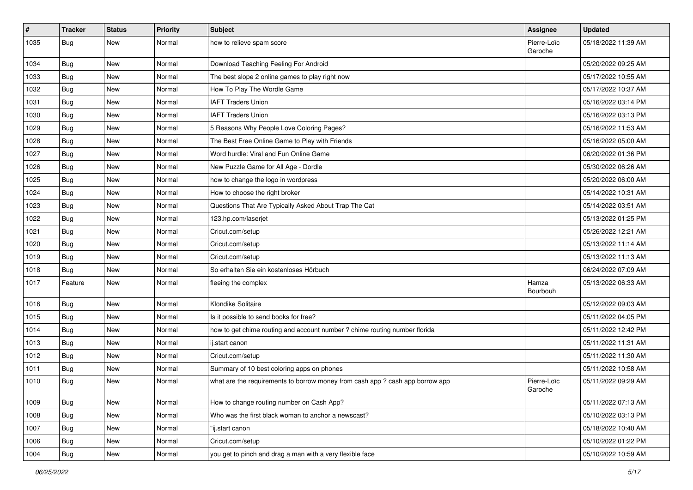| $\#$ | <b>Tracker</b> | <b>Status</b> | <b>Priority</b> | <b>Subject</b>                                                                | <b>Assignee</b>        | <b>Updated</b>      |
|------|----------------|---------------|-----------------|-------------------------------------------------------------------------------|------------------------|---------------------|
| 1035 | <b>Bug</b>     | New           | Normal          | how to relieve spam score                                                     | Pierre-Loïc<br>Garoche | 05/18/2022 11:39 AM |
| 1034 | Bug            | New           | Normal          | Download Teaching Feeling For Android                                         |                        | 05/20/2022 09:25 AM |
| 1033 | <b>Bug</b>     | New           | Normal          | The best slope 2 online games to play right now                               |                        | 05/17/2022 10:55 AM |
| 1032 | Bug            | New           | Normal          | How To Play The Wordle Game                                                   |                        | 05/17/2022 10:37 AM |
| 1031 | <b>Bug</b>     | New           | Normal          | <b>IAFT Traders Union</b>                                                     |                        | 05/16/2022 03:14 PM |
| 1030 | <b>Bug</b>     | New           | Normal          | <b>IAFT Traders Union</b>                                                     |                        | 05/16/2022 03:13 PM |
| 1029 | Bug            | New           | Normal          | 5 Reasons Why People Love Coloring Pages?                                     |                        | 05/16/2022 11:53 AM |
| 1028 | Bug            | New           | Normal          | The Best Free Online Game to Play with Friends                                |                        | 05/16/2022 05:00 AM |
| 1027 | Bug            | New           | Normal          | Word hurdle: Viral and Fun Online Game                                        |                        | 06/20/2022 01:36 PM |
| 1026 | Bug            | New           | Normal          | New Puzzle Game for All Age - Dordle                                          |                        | 05/30/2022 06:26 AM |
| 1025 | Bug            | New           | Normal          | how to change the logo in wordpress                                           |                        | 05/20/2022 06:00 AM |
| 1024 | <b>Bug</b>     | New           | Normal          | How to choose the right broker                                                |                        | 05/14/2022 10:31 AM |
| 1023 | Bug            | New           | Normal          | Questions That Are Typically Asked About Trap The Cat                         |                        | 05/14/2022 03:51 AM |
| 1022 | Bug            | New           | Normal          | 123.hp.com/laserjet                                                           |                        | 05/13/2022 01:25 PM |
| 1021 | <b>Bug</b>     | New           | Normal          | Cricut.com/setup                                                              |                        | 05/26/2022 12:21 AM |
| 1020 | Bug            | New           | Normal          | Cricut.com/setup                                                              |                        | 05/13/2022 11:14 AM |
| 1019 | Bug            | New           | Normal          | Cricut.com/setup                                                              |                        | 05/13/2022 11:13 AM |
| 1018 | Bug            | New           | Normal          | So erhalten Sie ein kostenloses Hörbuch                                       |                        | 06/24/2022 07:09 AM |
| 1017 | Feature        | New           | Normal          | fleeing the complex                                                           | Hamza<br>Bourbouh      | 05/13/2022 06:33 AM |
| 1016 | <b>Bug</b>     | New           | Normal          | Klondike Solitaire                                                            |                        | 05/12/2022 09:03 AM |
| 1015 | Bug            | New           | Normal          | Is it possible to send books for free?                                        |                        | 05/11/2022 04:05 PM |
| 1014 | <b>Bug</b>     | New           | Normal          | how to get chime routing and account number ? chime routing number florida    |                        | 05/11/2022 12:42 PM |
| 1013 | <b>Bug</b>     | New           | Normal          | ij.start canon                                                                |                        | 05/11/2022 11:31 AM |
| 1012 | Bug            | New           | Normal          | Cricut.com/setup                                                              |                        | 05/11/2022 11:30 AM |
| 1011 | <b>Bug</b>     | New           | Normal          | Summary of 10 best coloring apps on phones                                    |                        | 05/11/2022 10:58 AM |
| 1010 | <b>Bug</b>     | New           | Normal          | what are the requirements to borrow money from cash app ? cash app borrow app | Pierre-Loïc<br>Garoche | 05/11/2022 09:29 AM |
| 1009 | <b>Bug</b>     | New           | Normal          | How to change routing number on Cash App?                                     |                        | 05/11/2022 07:13 AM |
| 1008 | <b>Bug</b>     | New           | Normal          | Who was the first black woman to anchor a newscast?                           |                        | 05/10/2022 03:13 PM |
| 1007 | Bug            | New           | Normal          | "ij.start canon                                                               |                        | 05/18/2022 10:40 AM |
| 1006 | Bug            | New           | Normal          | Cricut.com/setup                                                              |                        | 05/10/2022 01:22 PM |
| 1004 | Bug            | New           | Normal          | you get to pinch and drag a man with a very flexible face                     |                        | 05/10/2022 10:59 AM |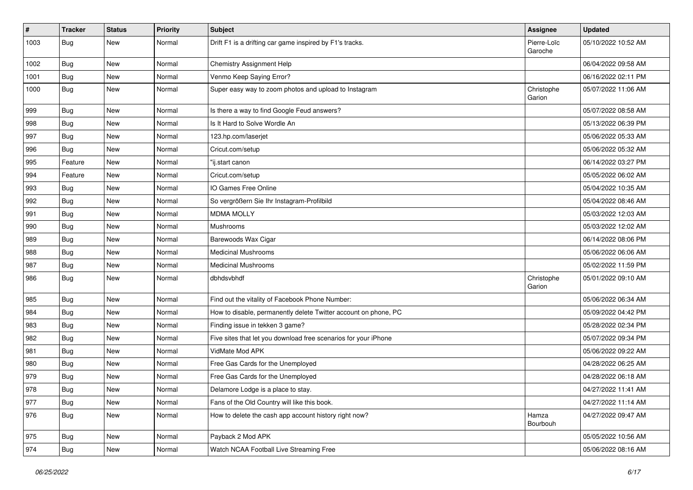| #    | <b>Tracker</b> | <b>Status</b> | <b>Priority</b> | <b>Subject</b>                                                  | <b>Assignee</b>        | <b>Updated</b>      |
|------|----------------|---------------|-----------------|-----------------------------------------------------------------|------------------------|---------------------|
| 1003 | <b>Bug</b>     | New           | Normal          | Drift F1 is a drifting car game inspired by F1's tracks.        | Pierre-Loïc<br>Garoche | 05/10/2022 10:52 AM |
| 1002 | <b>Bug</b>     | New           | Normal          | Chemistry Assignment Help                                       |                        | 06/04/2022 09:58 AM |
| 1001 | Bug            | New           | Normal          | Venmo Keep Saying Error?                                        |                        | 06/16/2022 02:11 PM |
| 1000 | <b>Bug</b>     | New           | Normal          | Super easy way to zoom photos and upload to Instagram           | Christophe<br>Garion   | 05/07/2022 11:06 AM |
| 999  | Bug            | New           | Normal          | Is there a way to find Google Feud answers?                     |                        | 05/07/2022 08:58 AM |
| 998  | <b>Bug</b>     | New           | Normal          | Is It Hard to Solve Wordle An                                   |                        | 05/13/2022 06:39 PM |
| 997  | <b>Bug</b>     | New           | Normal          | 123.hp.com/laserjet                                             |                        | 05/06/2022 05:33 AM |
| 996  | Bug            | New           | Normal          | Cricut.com/setup                                                |                        | 05/06/2022 05:32 AM |
| 995  | Feature        | New           | Normal          | "ij.start canon                                                 |                        | 06/14/2022 03:27 PM |
| 994  | Feature        | New           | Normal          | Cricut.com/setup                                                |                        | 05/05/2022 06:02 AM |
| 993  | Bug            | New           | Normal          | IO Games Free Online                                            |                        | 05/04/2022 10:35 AM |
| 992  | <b>Bug</b>     | New           | Normal          | So vergrößern Sie Ihr Instagram-Profilbild                      |                        | 05/04/2022 08:46 AM |
| 991  | Bug            | New           | Normal          | <b>MDMA MOLLY</b>                                               |                        | 05/03/2022 12:03 AM |
| 990  | <b>Bug</b>     | New           | Normal          | Mushrooms                                                       |                        | 05/03/2022 12:02 AM |
| 989  | Bug            | New           | Normal          | Barewoods Wax Cigar                                             |                        | 06/14/2022 08:06 PM |
| 988  | <b>Bug</b>     | New           | Normal          | <b>Medicinal Mushrooms</b>                                      |                        | 05/06/2022 06:06 AM |
| 987  | <b>Bug</b>     | New           | Normal          | <b>Medicinal Mushrooms</b>                                      |                        | 05/02/2022 11:59 PM |
| 986  | <b>Bug</b>     | New           | Normal          | dbhdsvbhdf                                                      | Christophe<br>Garion   | 05/01/2022 09:10 AM |
| 985  | Bug            | New           | Normal          | Find out the vitality of Facebook Phone Number:                 |                        | 05/06/2022 06:34 AM |
| 984  | Bug            | New           | Normal          | How to disable, permanently delete Twitter account on phone, PC |                        | 05/09/2022 04:42 PM |
| 983  | <b>Bug</b>     | New           | Normal          | Finding issue in tekken 3 game?                                 |                        | 05/28/2022 02:34 PM |
| 982  | Bug            | New           | Normal          | Five sites that let you download free scenarios for your iPhone |                        | 05/07/2022 09:34 PM |
| 981  | Bug            | New           | Normal          | VidMate Mod APK                                                 |                        | 05/06/2022 09:22 AM |
| 980  | <b>Bug</b>     | New           | Normal          | Free Gas Cards for the Unemployed                               |                        | 04/28/2022 06:25 AM |
| 979  | <b>Bug</b>     | New           | Normal          | Free Gas Cards for the Unemployed                               |                        | 04/28/2022 06:18 AM |
| 978  | Bug            | New           | Normal          | Delamore Lodge is a place to stay.                              |                        | 04/27/2022 11:41 AM |
| 977  | Bug            | New           | Normal          | Fans of the Old Country will like this book.                    |                        | 04/27/2022 11:14 AM |
| 976  | <b>Bug</b>     | New           | Normal          | How to delete the cash app account history right now?           | Hamza<br>Bourbouh      | 04/27/2022 09:47 AM |
| 975  | <b>Bug</b>     | New           | Normal          | Payback 2 Mod APK                                               |                        | 05/05/2022 10:56 AM |
| 974  | <b>Bug</b>     | New           | Normal          | Watch NCAA Football Live Streaming Free                         |                        | 05/06/2022 08:16 AM |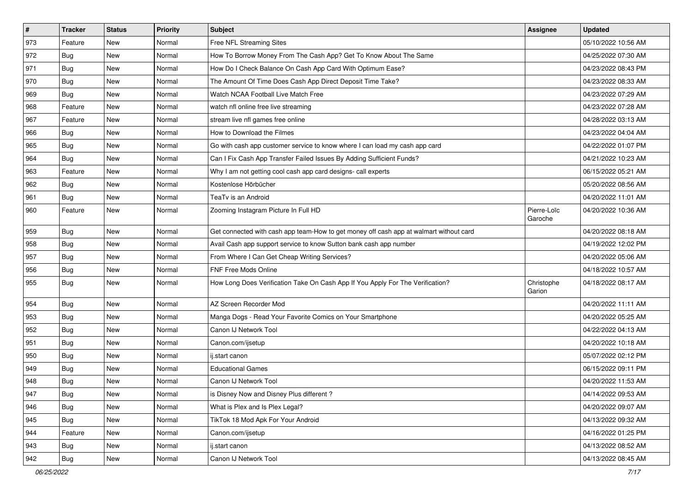| $\pmb{\#}$ | <b>Tracker</b> | <b>Status</b> | <b>Priority</b> | <b>Subject</b>                                                                         | Assignee               | <b>Updated</b>      |
|------------|----------------|---------------|-----------------|----------------------------------------------------------------------------------------|------------------------|---------------------|
| 973        | Feature        | New           | Normal          | Free NFL Streaming Sites                                                               |                        | 05/10/2022 10:56 AM |
| 972        | <b>Bug</b>     | <b>New</b>    | Normal          | How To Borrow Money From The Cash App? Get To Know About The Same                      |                        | 04/25/2022 07:30 AM |
| 971        | Bug            | New           | Normal          | How Do I Check Balance On Cash App Card With Optimum Ease?                             |                        | 04/23/2022 08:43 PM |
| 970        | <b>Bug</b>     | New           | Normal          | The Amount Of Time Does Cash App Direct Deposit Time Take?                             |                        | 04/23/2022 08:33 AM |
| 969        | Bug            | <b>New</b>    | Normal          | Watch NCAA Football Live Match Free                                                    |                        | 04/23/2022 07:29 AM |
| 968        | Feature        | New           | Normal          | watch nfl online free live streaming                                                   |                        | 04/23/2022 07:28 AM |
| 967        | Feature        | New           | Normal          | stream live nfl games free online                                                      |                        | 04/28/2022 03:13 AM |
| 966        | <b>Bug</b>     | New           | Normal          | How to Download the Filmes                                                             |                        | 04/23/2022 04:04 AM |
| 965        | <b>Bug</b>     | <b>New</b>    | Normal          | Go with cash app customer service to know where I can load my cash app card            |                        | 04/22/2022 01:07 PM |
| 964        | <b>Bug</b>     | <b>New</b>    | Normal          | Can I Fix Cash App Transfer Failed Issues By Adding Sufficient Funds?                  |                        | 04/21/2022 10:23 AM |
| 963        | Feature        | New           | Normal          | Why I am not getting cool cash app card designs- call experts                          |                        | 06/15/2022 05:21 AM |
| 962        | Bug            | New           | Normal          | Kostenlose Hörbücher                                                                   |                        | 05/20/2022 08:56 AM |
| 961        | Bug            | <b>New</b>    | Normal          | TeaTv is an Android                                                                    |                        | 04/20/2022 11:01 AM |
| 960        | Feature        | New           | Normal          | Zooming Instagram Picture In Full HD                                                   | Pierre-Loïc<br>Garoche | 04/20/2022 10:36 AM |
| 959        | Bug            | New           | Normal          | Get connected with cash app team-How to get money off cash app at walmart without card |                        | 04/20/2022 08:18 AM |
| 958        | Bug            | New           | Normal          | Avail Cash app support service to know Sutton bank cash app number                     |                        | 04/19/2022 12:02 PM |
| 957        | Bug            | <b>New</b>    | Normal          | From Where I Can Get Cheap Writing Services?                                           |                        | 04/20/2022 05:06 AM |
| 956        | Bug            | New           | Normal          | <b>FNF Free Mods Online</b>                                                            |                        | 04/18/2022 10:57 AM |
| 955        | Bug            | New           | Normal          | How Long Does Verification Take On Cash App If You Apply For The Verification?         | Christophe<br>Garion   | 04/18/2022 08:17 AM |
| 954        | Bug            | <b>New</b>    | Normal          | AZ Screen Recorder Mod                                                                 |                        | 04/20/2022 11:11 AM |
| 953        | Bug            | <b>New</b>    | Normal          | Manga Dogs - Read Your Favorite Comics on Your Smartphone                              |                        | 04/20/2022 05:25 AM |
| 952        | <b>Bug</b>     | New           | Normal          | Canon IJ Network Tool                                                                  |                        | 04/22/2022 04:13 AM |
| 951        | <b>Bug</b>     | New           | Normal          | Canon.com/ijsetup                                                                      |                        | 04/20/2022 10:18 AM |
| 950        | Bug            | <b>New</b>    | Normal          | ij.start canon                                                                         |                        | 05/07/2022 02:12 PM |
| 949        | <b>Bug</b>     | New           | Normal          | <b>Educational Games</b>                                                               |                        | 06/15/2022 09:11 PM |
| 948        | <b>Bug</b>     | New           | Normal          | Canon IJ Network Tool                                                                  |                        | 04/20/2022 11:53 AM |
| 947        | Bug            | New           | Normal          | is Disney Now and Disney Plus different?                                               |                        | 04/14/2022 09:53 AM |
| 946        | Bug            | New           | Normal          | What is Plex and Is Plex Legal?                                                        |                        | 04/20/2022 09:07 AM |
| 945        | Bug            | New           | Normal          | TikTok 18 Mod Apk For Your Android                                                     |                        | 04/13/2022 09:32 AM |
| 944        | Feature        | New           | Normal          | Canon.com/ijsetup                                                                      |                        | 04/16/2022 01:25 PM |
| 943        | Bug            | New           | Normal          | ij.start canon                                                                         |                        | 04/13/2022 08:52 AM |
| 942        | <b>Bug</b>     | New           | Normal          | Canon IJ Network Tool                                                                  |                        | 04/13/2022 08:45 AM |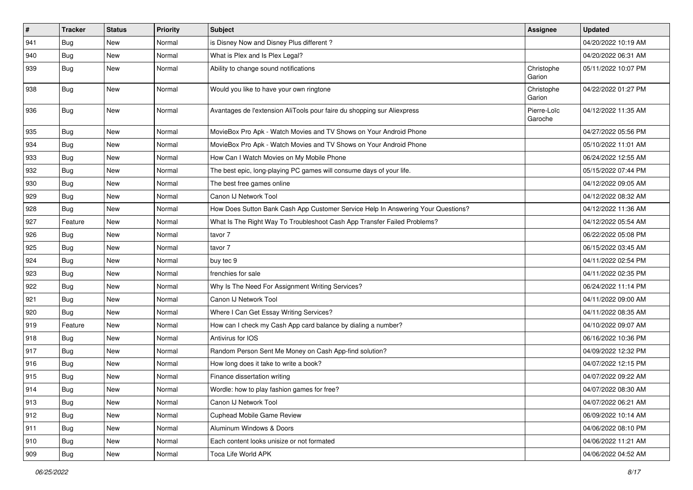| #   | <b>Tracker</b> | <b>Status</b> | <b>Priority</b> | <b>Subject</b>                                                                   | <b>Assignee</b>        | <b>Updated</b>      |
|-----|----------------|---------------|-----------------|----------------------------------------------------------------------------------|------------------------|---------------------|
| 941 | <b>Bug</b>     | New           | Normal          | is Disney Now and Disney Plus different?                                         |                        | 04/20/2022 10:19 AM |
| 940 | Bug            | New           | Normal          | What is Plex and Is Plex Legal?                                                  |                        | 04/20/2022 06:31 AM |
| 939 | Bug            | New           | Normal          | Ability to change sound notifications                                            | Christophe<br>Garion   | 05/11/2022 10:07 PM |
| 938 | Bug            | New           | Normal          | Would you like to have your own ringtone                                         | Christophe<br>Garion   | 04/22/2022 01:27 PM |
| 936 | <b>Bug</b>     | New           | Normal          | Avantages de l'extension AliTools pour faire du shopping sur Aliexpress          | Pierre-Loïc<br>Garoche | 04/12/2022 11:35 AM |
| 935 | Bug            | New           | Normal          | MovieBox Pro Apk - Watch Movies and TV Shows on Your Android Phone               |                        | 04/27/2022 05:56 PM |
| 934 | Bug            | <b>New</b>    | Normal          | MovieBox Pro Apk - Watch Movies and TV Shows on Your Android Phone               |                        | 05/10/2022 11:01 AM |
| 933 | <b>Bug</b>     | New           | Normal          | How Can I Watch Movies on My Mobile Phone                                        |                        | 06/24/2022 12:55 AM |
| 932 | <b>Bug</b>     | New           | Normal          | The best epic, long-playing PC games will consume days of your life.             |                        | 05/15/2022 07:44 PM |
| 930 | <b>Bug</b>     | New           | Normal          | The best free games online                                                       |                        | 04/12/2022 09:05 AM |
| 929 | Bug            | New           | Normal          | Canon IJ Network Tool                                                            |                        | 04/12/2022 08:32 AM |
| 928 | <b>Bug</b>     | New           | Normal          | How Does Sutton Bank Cash App Customer Service Help In Answering Your Questions? |                        | 04/12/2022 11:36 AM |
| 927 | Feature        | New           | Normal          | What Is The Right Way To Troubleshoot Cash App Transfer Failed Problems?         |                        | 04/12/2022 05:54 AM |
| 926 | <b>Bug</b>     | New           | Normal          | tavor 7                                                                          |                        | 06/22/2022 05:08 PM |
| 925 | Bug            | New           | Normal          | tavor 7                                                                          |                        | 06/15/2022 03:45 AM |
| 924 | Bug            | New           | Normal          | buy tec 9                                                                        |                        | 04/11/2022 02:54 PM |
| 923 | <b>Bug</b>     | New           | Normal          | frenchies for sale                                                               |                        | 04/11/2022 02:35 PM |
| 922 | <b>Bug</b>     | New           | Normal          | Why Is The Need For Assignment Writing Services?                                 |                        | 06/24/2022 11:14 PM |
| 921 | <b>Bug</b>     | New           | Normal          | Canon IJ Network Tool                                                            |                        | 04/11/2022 09:00 AM |
| 920 | Bug            | New           | Normal          | Where I Can Get Essay Writing Services?                                          |                        | 04/11/2022 08:35 AM |
| 919 | Feature        | New           | Normal          | How can I check my Cash App card balance by dialing a number?                    |                        | 04/10/2022 09:07 AM |
| 918 | <b>Bug</b>     | New           | Normal          | Antivirus for IOS                                                                |                        | 06/16/2022 10:36 PM |
| 917 | Bug            | New           | Normal          | Random Person Sent Me Money on Cash App-find solution?                           |                        | 04/09/2022 12:32 PM |
| 916 | <b>Bug</b>     | New           | Normal          | How long does it take to write a book?                                           |                        | 04/07/2022 12:15 PM |
| 915 | <b>Bug</b>     | New           | Normal          | Finance dissertation writing                                                     |                        | 04/07/2022 09:22 AM |
| 914 | Bug            | New           | Normal          | Wordle: how to play fashion games for free?                                      |                        | 04/07/2022 08:30 AM |
| 913 | <b>Bug</b>     | New           | Normal          | Canon IJ Network Tool                                                            |                        | 04/07/2022 06:21 AM |
| 912 | Bug            | New           | Normal          | Cuphead Mobile Game Review                                                       |                        | 06/09/2022 10:14 AM |
| 911 | <b>Bug</b>     | New           | Normal          | Aluminum Windows & Doors                                                         |                        | 04/06/2022 08:10 PM |
| 910 | Bug            | New           | Normal          | Each content looks unisize or not formated                                       |                        | 04/06/2022 11:21 AM |
| 909 | Bug            | New           | Normal          | Toca Life World APK                                                              |                        | 04/06/2022 04:52 AM |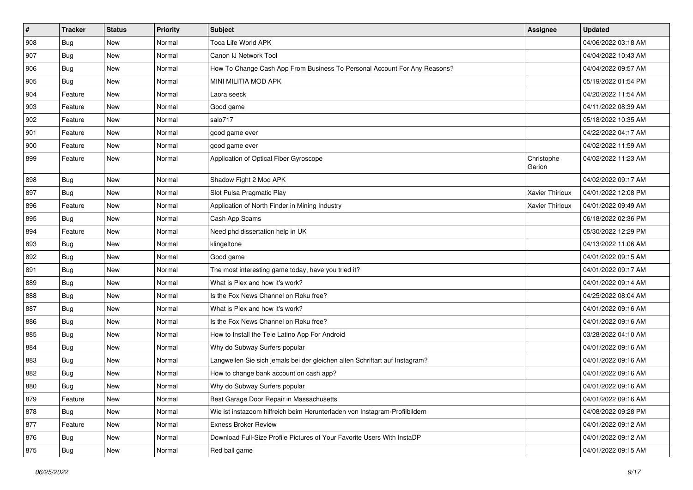| $\sharp$ | <b>Tracker</b> | <b>Status</b> | Priority | <b>Subject</b>                                                              | <b>Assignee</b>        | <b>Updated</b>      |
|----------|----------------|---------------|----------|-----------------------------------------------------------------------------|------------------------|---------------------|
| 908      | <b>Bug</b>     | New           | Normal   | Toca Life World APK                                                         |                        | 04/06/2022 03:18 AM |
| 907      | Bug            | New           | Normal   | Canon IJ Network Tool                                                       |                        | 04/04/2022 10:43 AM |
| 906      | Bug            | New           | Normal   | How To Change Cash App From Business To Personal Account For Any Reasons?   |                        | 04/04/2022 09:57 AM |
| 905      | <b>Bug</b>     | New           | Normal   | MINI MILITIA MOD APK                                                        |                        | 05/19/2022 01:54 PM |
| 904      | Feature        | New           | Normal   | Laora seeck                                                                 |                        | 04/20/2022 11:54 AM |
| 903      | Feature        | New           | Normal   | Good game                                                                   |                        | 04/11/2022 08:39 AM |
| 902      | Feature        | New           | Normal   | salo717                                                                     |                        | 05/18/2022 10:35 AM |
| 901      | Feature        | New           | Normal   | good game ever                                                              |                        | 04/22/2022 04:17 AM |
| 900      | Feature        | New           | Normal   | good game ever                                                              |                        | 04/02/2022 11:59 AM |
| 899      | Feature        | New           | Normal   | Application of Optical Fiber Gyroscope                                      | Christophe<br>Garion   | 04/02/2022 11:23 AM |
| 898      | Bug            | New           | Normal   | Shadow Fight 2 Mod APK                                                      |                        | 04/02/2022 09:17 AM |
| 897      | Bug            | New           | Normal   | Slot Pulsa Pragmatic Play                                                   | Xavier Thirioux        | 04/01/2022 12:08 PM |
| 896      | Feature        | New           | Normal   | Application of North Finder in Mining Industry                              | <b>Xavier Thirioux</b> | 04/01/2022 09:49 AM |
| 895      | <b>Bug</b>     | New           | Normal   | Cash App Scams                                                              |                        | 06/18/2022 02:36 PM |
| 894      | Feature        | New           | Normal   | Need phd dissertation help in UK                                            |                        | 05/30/2022 12:29 PM |
| 893      | <b>Bug</b>     | New           | Normal   | klingeltone                                                                 |                        | 04/13/2022 11:06 AM |
| 892      | Bug            | New           | Normal   | Good game                                                                   |                        | 04/01/2022 09:15 AM |
| 891      | <b>Bug</b>     | New           | Normal   | The most interesting game today, have you tried it?                         |                        | 04/01/2022 09:17 AM |
| 889      | Bug            | New           | Normal   | What is Plex and how it's work?                                             |                        | 04/01/2022 09:14 AM |
| 888      | Bug            | New           | Normal   | Is the Fox News Channel on Roku free?                                       |                        | 04/25/2022 08:04 AM |
| 887      | Bug            | New           | Normal   | What is Plex and how it's work?                                             |                        | 04/01/2022 09:16 AM |
| 886      | Bug            | New           | Normal   | Is the Fox News Channel on Roku free?                                       |                        | 04/01/2022 09:16 AM |
| 885      | <b>Bug</b>     | New           | Normal   | How to Install the Tele Latino App For Android                              |                        | 03/28/2022 04:10 AM |
| 884      | Bug            | New           | Normal   | Why do Subway Surfers popular                                               |                        | 04/01/2022 09:16 AM |
| 883      | Bug            | New           | Normal   | Langweilen Sie sich jemals bei der gleichen alten Schriftart auf Instagram? |                        | 04/01/2022 09:16 AM |
| 882      | <b>Bug</b>     | New           | Normal   | How to change bank account on cash app?                                     |                        | 04/01/2022 09:16 AM |
| 880      | <b>Bug</b>     | New           | Normal   | Why do Subway Surfers popular                                               |                        | 04/01/2022 09:16 AM |
| 879      | Feature        | New           | Normal   | Best Garage Door Repair in Massachusetts                                    |                        | 04/01/2022 09:16 AM |
| 878      | <b>Bug</b>     | New           | Normal   | Wie ist instazoom hilfreich beim Herunterladen von Instagram-Profilbildern  |                        | 04/08/2022 09:28 PM |
| 877      | Feature        | New           | Normal   | <b>Exness Broker Review</b>                                                 |                        | 04/01/2022 09:12 AM |
| 876      | <b>Bug</b>     | New           | Normal   | Download Full-Size Profile Pictures of Your Favorite Users With InstaDP     |                        | 04/01/2022 09:12 AM |
| 875      | <b>Bug</b>     | New           | Normal   | Red ball game                                                               |                        | 04/01/2022 09:15 AM |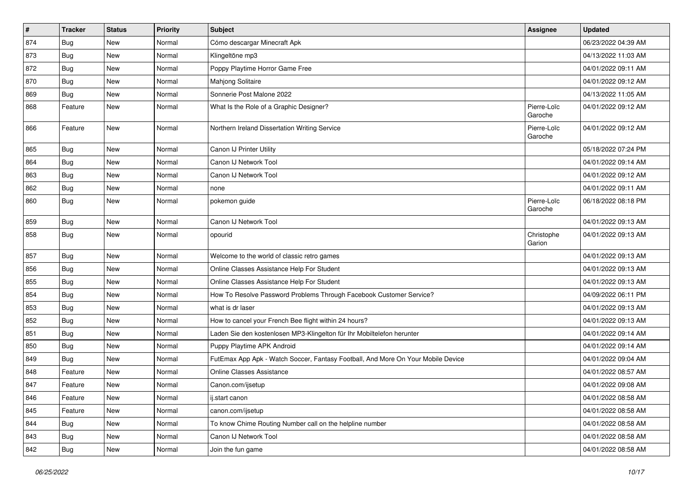| $\vert$ # | <b>Tracker</b> | <b>Status</b> | <b>Priority</b> | Subject                                                                          | <b>Assignee</b>        | <b>Updated</b>      |
|-----------|----------------|---------------|-----------------|----------------------------------------------------------------------------------|------------------------|---------------------|
| 874       | <b>Bug</b>     | New           | Normal          | Cómo descargar Minecraft Apk                                                     |                        | 06/23/2022 04:39 AM |
| 873       | Bug            | New           | Normal          | Klingeltöne mp3                                                                  |                        | 04/13/2022 11:03 AM |
| 872       | Bug            | New           | Normal          | Poppy Playtime Horror Game Free                                                  |                        | 04/01/2022 09:11 AM |
| 870       | <b>Bug</b>     | New           | Normal          | Mahjong Solitaire                                                                |                        | 04/01/2022 09:12 AM |
| 869       | Bug            | New           | Normal          | Sonnerie Post Malone 2022                                                        |                        | 04/13/2022 11:05 AM |
| 868       | Feature        | New           | Normal          | What Is the Role of a Graphic Designer?                                          | Pierre-Loïc<br>Garoche | 04/01/2022 09:12 AM |
| 866       | Feature        | New           | Normal          | Northern Ireland Dissertation Writing Service                                    | Pierre-Loïc<br>Garoche | 04/01/2022 09:12 AM |
| 865       | Bug            | New           | Normal          | Canon IJ Printer Utility                                                         |                        | 05/18/2022 07:24 PM |
| 864       | Bug            | New           | Normal          | Canon IJ Network Tool                                                            |                        | 04/01/2022 09:14 AM |
| 863       | Bug            | New           | Normal          | Canon IJ Network Tool                                                            |                        | 04/01/2022 09:12 AM |
| 862       | Bug            | New           | Normal          | none                                                                             |                        | 04/01/2022 09:11 AM |
| 860       | Bug            | New           | Normal          | pokemon guide                                                                    | Pierre-Loïc<br>Garoche | 06/18/2022 08:18 PM |
| 859       | Bug            | New           | Normal          | Canon IJ Network Tool                                                            |                        | 04/01/2022 09:13 AM |
| 858       | Bug            | New           | Normal          | opourid                                                                          | Christophe<br>Garion   | 04/01/2022 09:13 AM |
| 857       | Bug            | New           | Normal          | Welcome to the world of classic retro games                                      |                        | 04/01/2022 09:13 AM |
| 856       | Bug            | New           | Normal          | Online Classes Assistance Help For Student                                       |                        | 04/01/2022 09:13 AM |
| 855       | Bug            | New           | Normal          | Online Classes Assistance Help For Student                                       |                        | 04/01/2022 09:13 AM |
| 854       | Bug            | New           | Normal          | How To Resolve Password Problems Through Facebook Customer Service?              |                        | 04/09/2022 06:11 PM |
| 853       | Bug            | New           | Normal          | what is dr laser                                                                 |                        | 04/01/2022 09:13 AM |
| 852       | Bug            | New           | Normal          | How to cancel your French Bee flight within 24 hours?                            |                        | 04/01/2022 09:13 AM |
| 851       | Bug            | New           | Normal          | Laden Sie den kostenlosen MP3-Klingelton für Ihr Mobiltelefon herunter           |                        | 04/01/2022 09:14 AM |
| 850       | Bug            | New           | Normal          | Puppy Playtime APK Android                                                       |                        | 04/01/2022 09:14 AM |
| 849       | Bug            | New           | Normal          | FutEmax App Apk - Watch Soccer, Fantasy Football, And More On Your Mobile Device |                        | 04/01/2022 09:04 AM |
| 848       | Feature        | New           | Normal          | <b>Online Classes Assistance</b>                                                 |                        | 04/01/2022 08:57 AM |
| 847       | Feature        | New           | Normal          | Canon.com/ijsetup                                                                |                        | 04/01/2022 09:08 AM |
| 846       | Feature        | New           | Normal          | ij.start canon                                                                   |                        | 04/01/2022 08:58 AM |
| 845       | Feature        | New           | Normal          | canon.com/ijsetup                                                                |                        | 04/01/2022 08:58 AM |
| 844       | <b>Bug</b>     | New           | Normal          | To know Chime Routing Number call on the helpline number                         |                        | 04/01/2022 08:58 AM |
| 843       | Bug            | New           | Normal          | Canon IJ Network Tool                                                            |                        | 04/01/2022 08:58 AM |
| 842       | <b>Bug</b>     | New           | Normal          | Join the fun game                                                                |                        | 04/01/2022 08:58 AM |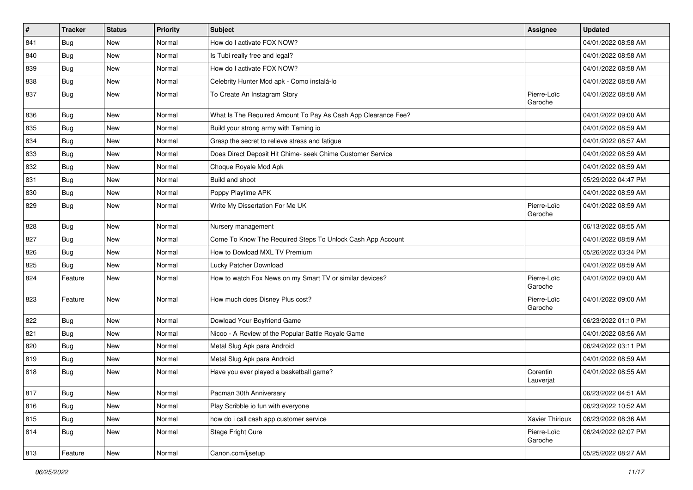| $\vert$ # | <b>Tracker</b> | <b>Status</b> | <b>Priority</b> | Subject                                                       | Assignee               | <b>Updated</b>      |
|-----------|----------------|---------------|-----------------|---------------------------------------------------------------|------------------------|---------------------|
| 841       | <b>Bug</b>     | New           | Normal          | How do I activate FOX NOW?                                    |                        | 04/01/2022 08:58 AM |
| 840       | <b>Bug</b>     | New           | Normal          | Is Tubi really free and legal?                                |                        | 04/01/2022 08:58 AM |
| 839       | <b>Bug</b>     | New           | Normal          | How do I activate FOX NOW?                                    |                        | 04/01/2022 08:58 AM |
| 838       | Bug            | New           | Normal          | Celebrity Hunter Mod apk - Como instalá-lo                    |                        | 04/01/2022 08:58 AM |
| 837       | <b>Bug</b>     | New           | Normal          | To Create An Instagram Story                                  | Pierre-Loïc<br>Garoche | 04/01/2022 08:58 AM |
| 836       | <b>Bug</b>     | <b>New</b>    | Normal          | What Is The Required Amount To Pay As Cash App Clearance Fee? |                        | 04/01/2022 09:00 AM |
| 835       | Bug            | New           | Normal          | Build your strong army with Taming io                         |                        | 04/01/2022 08:59 AM |
| 834       | Bug            | New           | Normal          | Grasp the secret to relieve stress and fatigue                |                        | 04/01/2022 08:57 AM |
| 833       | Bug            | New           | Normal          | Does Direct Deposit Hit Chime- seek Chime Customer Service    |                        | 04/01/2022 08:59 AM |
| 832       | <b>Bug</b>     | New           | Normal          | Choque Royale Mod Apk                                         |                        | 04/01/2022 08:59 AM |
| 831       | <b>Bug</b>     | New           | Normal          | Build and shoot                                               |                        | 05/29/2022 04:47 PM |
| 830       | Bug            | New           | Normal          | Poppy Playtime APK                                            |                        | 04/01/2022 08:59 AM |
| 829       | <b>Bug</b>     | New           | Normal          | Write My Dissertation For Me UK                               | Pierre-Loïc<br>Garoche | 04/01/2022 08:59 AM |
| 828       | Bug            | New           | Normal          | Nursery management                                            |                        | 06/13/2022 08:55 AM |
| 827       | Bug            | New           | Normal          | Come To Know The Required Steps To Unlock Cash App Account    |                        | 04/01/2022 08:59 AM |
| 826       | <b>Bug</b>     | New           | Normal          | How to Dowload MXL TV Premium                                 |                        | 05/26/2022 03:34 PM |
| 825       | Bug            | New           | Normal          | Lucky Patcher Download                                        |                        | 04/01/2022 08:59 AM |
| 824       | Feature        | New           | Normal          | How to watch Fox News on my Smart TV or similar devices?      | Pierre-Loïc<br>Garoche | 04/01/2022 09:00 AM |
| 823       | Feature        | New           | Normal          | How much does Disney Plus cost?                               | Pierre-Loïc<br>Garoche | 04/01/2022 09:00 AM |
| 822       | Bug            | New           | Normal          | Dowload Your Boyfriend Game                                   |                        | 06/23/2022 01:10 PM |
| 821       | Bug            | New           | Normal          | Nicoo - A Review of the Popular Battle Royale Game            |                        | 04/01/2022 08:56 AM |
| 820       | Bug            | New           | Normal          | Metal Slug Apk para Android                                   |                        | 06/24/2022 03:11 PM |
| 819       | <b>Bug</b>     | New           | Normal          | Metal Slug Apk para Android                                   |                        | 04/01/2022 08:59 AM |
| 818       | Bug            | New           | Normal          | Have you ever played a basketball game?                       | Corentin<br>Lauverjat  | 04/01/2022 08:55 AM |
| 817       | Bug            | New           | Normal          | Pacman 30th Anniversary                                       |                        | 06/23/2022 04:51 AM |
| 816       | Bug            | New           | Normal          | Play Scribble io fun with everyone                            |                        | 06/23/2022 10:52 AM |
| 815       | Bug            | New           | Normal          | how do i call cash app customer service                       | Xavier Thirioux        | 06/23/2022 08:36 AM |
| 814       | <b>Bug</b>     | New           | Normal          | Stage Fright Cure                                             | Pierre-Loïc<br>Garoche | 06/24/2022 02:07 PM |
| 813       | Feature        | New           | Normal          | Canon.com/ijsetup                                             |                        | 05/25/2022 08:27 AM |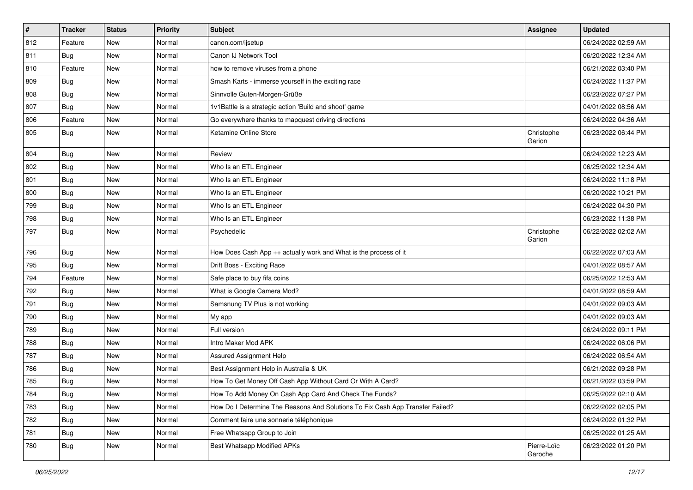| $\vert$ # | <b>Tracker</b> | <b>Status</b> | <b>Priority</b> | Subject                                                                       | <b>Assignee</b>        | <b>Updated</b>      |
|-----------|----------------|---------------|-----------------|-------------------------------------------------------------------------------|------------------------|---------------------|
| 812       | Feature        | New           | Normal          | canon.com/ijsetup                                                             |                        | 06/24/2022 02:59 AM |
| 811       | Bug            | New           | Normal          | Canon IJ Network Tool                                                         |                        | 06/20/2022 12:34 AM |
| 810       | Feature        | New           | Normal          | how to remove viruses from a phone                                            |                        | 06/21/2022 03:40 PM |
| 809       | <b>Bug</b>     | New           | Normal          | Smash Karts - immerse yourself in the exciting race                           |                        | 06/24/2022 11:37 PM |
| 808       | Bug            | <b>New</b>    | Normal          | Sinnvolle Guten-Morgen-Grüße                                                  |                        | 06/23/2022 07:27 PM |
| 807       | Bug            | New           | Normal          | 1v1Battle is a strategic action 'Build and shoot' game                        |                        | 04/01/2022 08:56 AM |
| 806       | Feature        | New           | Normal          | Go everywhere thanks to mapquest driving directions                           |                        | 06/24/2022 04:36 AM |
| 805       | Bug            | New           | Normal          | Ketamine Online Store                                                         | Christophe<br>Garion   | 06/23/2022 06:44 PM |
| 804       | Bug            | New           | Normal          | Review                                                                        |                        | 06/24/2022 12:23 AM |
| 802       | Bug            | New           | Normal          | Who Is an ETL Engineer                                                        |                        | 06/25/2022 12:34 AM |
| 801       | Bug            | New           | Normal          | Who Is an ETL Engineer                                                        |                        | 06/24/2022 11:18 PM |
| 800       | Bug            | New           | Normal          | Who Is an ETL Engineer                                                        |                        | 06/20/2022 10:21 PM |
| 799       | <b>Bug</b>     | New           | Normal          | Who Is an ETL Engineer                                                        |                        | 06/24/2022 04:30 PM |
| 798       | Bug            | New           | Normal          | Who Is an ETL Engineer                                                        |                        | 06/23/2022 11:38 PM |
| 797       | Bug            | New           | Normal          | Psychedelic                                                                   | Christophe<br>Garion   | 06/22/2022 02:02 AM |
| 796       | Bug            | New           | Normal          | How Does Cash App ++ actually work and What is the process of it              |                        | 06/22/2022 07:03 AM |
| 795       | Bug            | New           | Normal          | Drift Boss - Exciting Race                                                    |                        | 04/01/2022 08:57 AM |
| 794       | Feature        | New           | Normal          | Safe place to buy fifa coins                                                  |                        | 06/25/2022 12:53 AM |
| 792       | Bug            | New           | Normal          | What is Google Camera Mod?                                                    |                        | 04/01/2022 08:59 AM |
| 791       | <b>Bug</b>     | New           | Normal          | Samsnung TV Plus is not working                                               |                        | 04/01/2022 09:03 AM |
| 790       | Bug            | New           | Normal          | My app                                                                        |                        | 04/01/2022 09:03 AM |
| 789       | Bug            | New           | Normal          | Full version                                                                  |                        | 06/24/2022 09:11 PM |
| 788       | Bug            | New           | Normal          | Intro Maker Mod APK                                                           |                        | 06/24/2022 06:06 PM |
| 787       | Bug            | New           | Normal          | Assured Assignment Help                                                       |                        | 06/24/2022 06:54 AM |
| 786       | Bug            | New           | Normal          | Best Assignment Help in Australia & UK                                        |                        | 06/21/2022 09:28 PM |
| 785       | Bug            | New           | Normal          | How To Get Money Off Cash App Without Card Or With A Card?                    |                        | 06/21/2022 03:59 PM |
| 784       | Bug            | New           | Normal          | How To Add Money On Cash App Card And Check The Funds?                        |                        | 06/25/2022 02:10 AM |
| 783       | Bug            | New           | Normal          | How Do I Determine The Reasons And Solutions To Fix Cash App Transfer Failed? |                        | 06/22/2022 02:05 PM |
| 782       | <b>Bug</b>     | New           | Normal          | Comment faire une sonnerie téléphonique                                       |                        | 06/24/2022 01:32 PM |
| 781       | Bug            | New           | Normal          | Free Whatsapp Group to Join                                                   |                        | 06/25/2022 01:25 AM |
| 780       | <b>Bug</b>     | New           | Normal          | Best Whatsapp Modified APKs                                                   | Pierre-Loïc<br>Garoche | 06/23/2022 01:20 PM |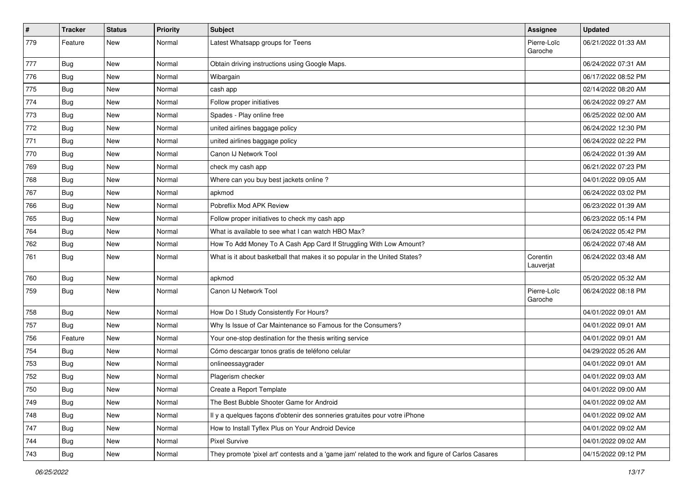| $\vert$ # | <b>Tracker</b>   | <b>Status</b> | <b>Priority</b> | <b>Subject</b>                                                                                      | Assignee               | <b>Updated</b>      |
|-----------|------------------|---------------|-----------------|-----------------------------------------------------------------------------------------------------|------------------------|---------------------|
| 779       | Feature          | New           | Normal          | Latest Whatsapp groups for Teens                                                                    | Pierre-Loïc<br>Garoche | 06/21/2022 01:33 AM |
| 777       | <b>Bug</b>       | New           | Normal          | Obtain driving instructions using Google Maps.                                                      |                        | 06/24/2022 07:31 AM |
| 776       | <b>Bug</b>       | New           | Normal          | Wibargain                                                                                           |                        | 06/17/2022 08:52 PM |
| 775       | Bug              | New           | Normal          | cash app                                                                                            |                        | 02/14/2022 08:20 AM |
| 774       | <b>Bug</b>       | New           | Normal          | Follow proper initiatives                                                                           |                        | 06/24/2022 09:27 AM |
| 773       | Bug              | New           | Normal          | Spades - Play online free                                                                           |                        | 06/25/2022 02:00 AM |
| 772       | <b>Bug</b>       | New           | Normal          | united airlines baggage policy                                                                      |                        | 06/24/2022 12:30 PM |
| 771       | <b>Bug</b>       | New           | Normal          | united airlines baggage policy                                                                      |                        | 06/24/2022 02:22 PM |
| 770       | Bug              | New           | Normal          | Canon IJ Network Tool                                                                               |                        | 06/24/2022 01:39 AM |
| 769       | Bug              | New           | Normal          | check my cash app                                                                                   |                        | 06/21/2022 07:23 PM |
| 768       | <b>Bug</b>       | New           | Normal          | Where can you buy best jackets online?                                                              |                        | 04/01/2022 09:05 AM |
| 767       | Bug              | New           | Normal          | apkmod                                                                                              |                        | 06/24/2022 03:02 PM |
| 766       | Bug              | New           | Normal          | Pobreflix Mod APK Review                                                                            |                        | 06/23/2022 01:39 AM |
| 765       | Bug              | New           | Normal          | Follow proper initiatives to check my cash app                                                      |                        | 06/23/2022 05:14 PM |
| 764       | <b>Bug</b>       | New           | Normal          | What is available to see what I can watch HBO Max?                                                  |                        | 06/24/2022 05:42 PM |
| 762       | <b>Bug</b>       | New           | Normal          | How To Add Money To A Cash App Card If Struggling With Low Amount?                                  |                        | 06/24/2022 07:48 AM |
| 761       | Bug              | New           | Normal          | What is it about basketball that makes it so popular in the United States?                          | Corentin<br>Lauverjat  | 06/24/2022 03:48 AM |
| 760       | Bug              | New           | Normal          | apkmod                                                                                              |                        | 05/20/2022 05:32 AM |
| 759       | Bug              | New           | Normal          | Canon IJ Network Tool                                                                               | Pierre-Loïc<br>Garoche | 06/24/2022 08:18 PM |
| 758       | Bug              | New           | Normal          | How Do I Study Consistently For Hours?                                                              |                        | 04/01/2022 09:01 AM |
| 757       | <b>Bug</b>       | New           | Normal          | Why Is Issue of Car Maintenance so Famous for the Consumers?                                        |                        | 04/01/2022 09:01 AM |
| 756       | Feature          | New           | Normal          | Your one-stop destination for the thesis writing service                                            |                        | 04/01/2022 09:01 AM |
| 754       | Bug              | New           | Normal          | Cómo descargar tonos gratis de teléfono celular                                                     |                        | 04/29/2022 05:26 AM |
| 753       | <b>Bug</b>       | New           | Normal          | onlineessaygrader                                                                                   |                        | 04/01/2022 09:01 AM |
| 752       | <b>Bug</b>       | New           | Normal          | Plagerism checker                                                                                   |                        | 04/01/2022 09:03 AM |
| 750       | <sub>I</sub> Bug | New           | Normal          | Create a Report Template                                                                            |                        | 04/01/2022 09:00 AM |
| 749       | <b>Bug</b>       | New           | Normal          | The Best Bubble Shooter Game for Android                                                            |                        | 04/01/2022 09:02 AM |
| 748       | <b>Bug</b>       | New           | Normal          | Il y a quelques façons d'obtenir des sonneries gratuites pour votre iPhone                          |                        | 04/01/2022 09:02 AM |
| 747       | Bug              | New           | Normal          | How to Install Tyflex Plus on Your Android Device                                                   |                        | 04/01/2022 09:02 AM |
| 744       | Bug              | New           | Normal          | <b>Pixel Survive</b>                                                                                |                        | 04/01/2022 09:02 AM |
| 743       | Bug              | New           | Normal          | They promote 'pixel art' contests and a 'game jam' related to the work and figure of Carlos Casares |                        | 04/15/2022 09:12 PM |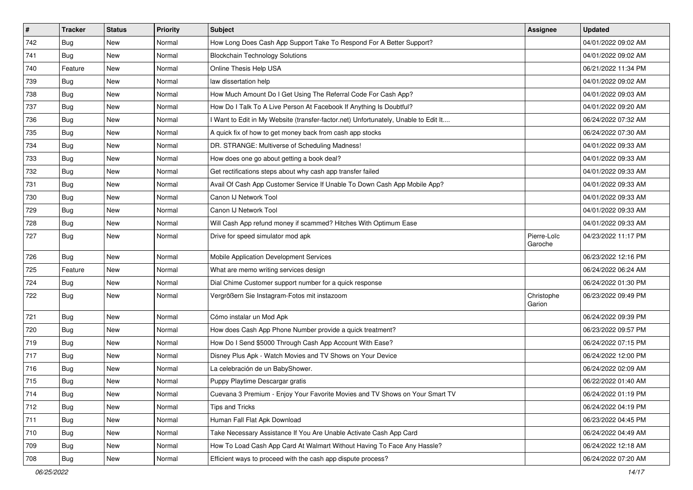| $\vert$ # | <b>Tracker</b> | <b>Status</b> | <b>Priority</b> | <b>Subject</b>                                                                      | <b>Assignee</b>        | <b>Updated</b>      |
|-----------|----------------|---------------|-----------------|-------------------------------------------------------------------------------------|------------------------|---------------------|
| 742       | <b>Bug</b>     | New           | Normal          | How Long Does Cash App Support Take To Respond For A Better Support?                |                        | 04/01/2022 09:02 AM |
| 741       | <b>Bug</b>     | New           | Normal          | <b>Blockchain Technology Solutions</b>                                              |                        | 04/01/2022 09:02 AM |
| 740       | Feature        | New           | Normal          | Online Thesis Help USA                                                              |                        | 06/21/2022 11:34 PM |
| 739       | <b>Bug</b>     | New           | Normal          | law dissertation help                                                               |                        | 04/01/2022 09:02 AM |
| 738       | <b>Bug</b>     | New           | Normal          | How Much Amount Do I Get Using The Referral Code For Cash App?                      |                        | 04/01/2022 09:03 AM |
| 737       | <b>Bug</b>     | New           | Normal          | How Do I Talk To A Live Person At Facebook If Anything Is Doubtful?                 |                        | 04/01/2022 09:20 AM |
| 736       | Bug            | New           | Normal          | I Want to Edit in My Website (transfer-factor.net) Unfortunately, Unable to Edit It |                        | 06/24/2022 07:32 AM |
| 735       | <b>Bug</b>     | New           | Normal          | A quick fix of how to get money back from cash app stocks                           |                        | 06/24/2022 07:30 AM |
| 734       | <b>Bug</b>     | New           | Normal          | DR. STRANGE: Multiverse of Scheduling Madness!                                      |                        | 04/01/2022 09:33 AM |
| 733       | Bug            | New           | Normal          | How does one go about getting a book deal?                                          |                        | 04/01/2022 09:33 AM |
| 732       | <b>Bug</b>     | New           | Normal          | Get rectifications steps about why cash app transfer failed                         |                        | 04/01/2022 09:33 AM |
| 731       | <b>Bug</b>     | New           | Normal          | Avail Of Cash App Customer Service If Unable To Down Cash App Mobile App?           |                        | 04/01/2022 09:33 AM |
| 730       | Bug            | New           | Normal          | Canon IJ Network Tool                                                               |                        | 04/01/2022 09:33 AM |
| 729       | <b>Bug</b>     | New           | Normal          | Canon IJ Network Tool                                                               |                        | 04/01/2022 09:33 AM |
| 728       | Bug            | New           | Normal          | Will Cash App refund money if scammed? Hitches With Optimum Ease                    |                        | 04/01/2022 09:33 AM |
| 727       | Bug            | New           | Normal          | Drive for speed simulator mod apk                                                   | Pierre-Loïc<br>Garoche | 04/23/2022 11:17 PM |
| 726       | <b>Bug</b>     | New           | Normal          | Mobile Application Development Services                                             |                        | 06/23/2022 12:16 PM |
| 725       | Feature        | New           | Normal          | What are memo writing services design                                               |                        | 06/24/2022 06:24 AM |
| 724       | Bug            | New           | Normal          | Dial Chime Customer support number for a quick response                             |                        | 06/24/2022 01:30 PM |
| 722       | Bug            | New           | Normal          | Vergrößern Sie Instagram-Fotos mit instazoom                                        | Christophe<br>Garion   | 06/23/2022 09:49 PM |
| 721       | Bug            | New           | Normal          | Cómo instalar un Mod Apk                                                            |                        | 06/24/2022 09:39 PM |
| 720       | <b>Bug</b>     | New           | Normal          | How does Cash App Phone Number provide a quick treatment?                           |                        | 06/23/2022 09:57 PM |
| 719       | <b>Bug</b>     | New           | Normal          | How Do I Send \$5000 Through Cash App Account With Ease?                            |                        | 06/24/2022 07:15 PM |
| 717       | Bug            | New           | Normal          | Disney Plus Apk - Watch Movies and TV Shows on Your Device                          |                        | 06/24/2022 12:00 PM |
| 716       | Bug            | New           | Normal          | La celebración de un BabyShower.                                                    |                        | 06/24/2022 02:09 AM |
| 715       | <b>Bug</b>     | New           | Normal          | Puppy Playtime Descargar gratis                                                     |                        | 06/22/2022 01:40 AM |
| 714       | Bug            | New           | Normal          | Cuevana 3 Premium - Enjoy Your Favorite Movies and TV Shows on Your Smart TV        |                        | 06/24/2022 01:19 PM |
| 712       | Bug            | New           | Normal          | Tips and Tricks                                                                     |                        | 06/24/2022 04:19 PM |
| 711       | Bug            | New           | Normal          | Human Fall Flat Apk Download                                                        |                        | 06/23/2022 04:45 PM |
| 710       | <b>Bug</b>     | New           | Normal          | Take Necessary Assistance If You Are Unable Activate Cash App Card                  |                        | 06/24/2022 04:49 AM |
| 709       | <b>Bug</b>     | New           | Normal          | How To Load Cash App Card At Walmart Without Having To Face Any Hassle?             |                        | 06/24/2022 12:18 AM |
| 708       | <b>Bug</b>     | New           | Normal          | Efficient ways to proceed with the cash app dispute process?                        |                        | 06/24/2022 07:20 AM |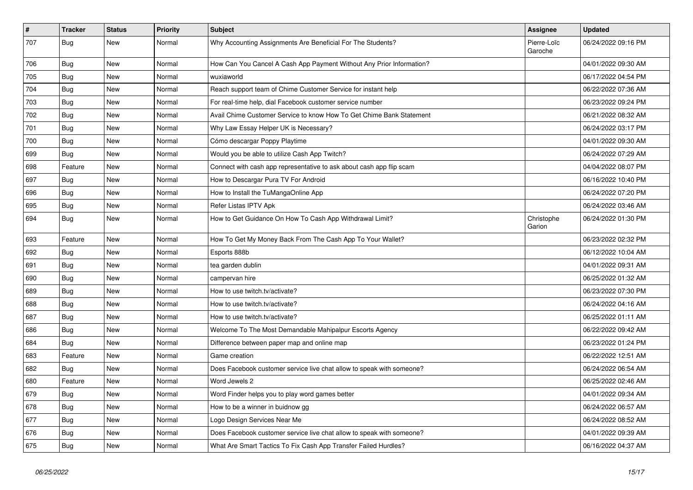| $\vert$ # | <b>Tracker</b> | <b>Status</b> | <b>Priority</b> | <b>Subject</b>                                                        | <b>Assignee</b>        | <b>Updated</b>      |
|-----------|----------------|---------------|-----------------|-----------------------------------------------------------------------|------------------------|---------------------|
| 707       | Bug            | New           | Normal          | Why Accounting Assignments Are Beneficial For The Students?           | Pierre-Loïc<br>Garoche | 06/24/2022 09:16 PM |
| 706       | Bug            | New           | Normal          | How Can You Cancel A Cash App Payment Without Any Prior Information?  |                        | 04/01/2022 09:30 AM |
| 705       | Bug            | New           | Normal          | wuxiaworld                                                            |                        | 06/17/2022 04:54 PM |
| 704       | <b>Bug</b>     | New           | Normal          | Reach support team of Chime Customer Service for instant help         |                        | 06/22/2022 07:36 AM |
| 703       | <b>Bug</b>     | New           | Normal          | For real-time help, dial Facebook customer service number             |                        | 06/23/2022 09:24 PM |
| 702       | <b>Bug</b>     | New           | Normal          | Avail Chime Customer Service to know How To Get Chime Bank Statement  |                        | 06/21/2022 08:32 AM |
| 701       | <b>Bug</b>     | <b>New</b>    | Normal          | Why Law Essay Helper UK is Necessary?                                 |                        | 06/24/2022 03:17 PM |
| 700       | Bug            | <b>New</b>    | Normal          | Cómo descargar Poppy Playtime                                         |                        | 04/01/2022 09:30 AM |
| 699       | <b>Bug</b>     | New           | Normal          | Would you be able to utilize Cash App Twitch?                         |                        | 06/24/2022 07:29 AM |
| 698       | Feature        | <b>New</b>    | Normal          | Connect with cash app representative to ask about cash app flip scam  |                        | 04/04/2022 08:07 PM |
| 697       | Bug            | <b>New</b>    | Normal          | How to Descargar Pura TV For Android                                  |                        | 06/16/2022 10:40 PM |
| 696       | Bug            | <b>New</b>    | Normal          | How to Install the TuMangaOnline App                                  |                        | 06/24/2022 07:20 PM |
| 695       | Bug            | New           | Normal          | Refer Listas IPTV Apk                                                 |                        | 06/24/2022 03:46 AM |
| 694       | Bug            | New           | Normal          | How to Get Guidance On How To Cash App Withdrawal Limit?              | Christophe<br>Garion   | 06/24/2022 01:30 PM |
| 693       | Feature        | New           | Normal          | How To Get My Money Back From The Cash App To Your Wallet?            |                        | 06/23/2022 02:32 PM |
| 692       | Bug            | New           | Normal          | Esports 888b                                                          |                        | 06/12/2022 10:04 AM |
| 691       | <b>Bug</b>     | New           | Normal          | tea garden dublin                                                     |                        | 04/01/2022 09:31 AM |
| 690       | <b>Bug</b>     | New           | Normal          | campervan hire                                                        |                        | 06/25/2022 01:32 AM |
| 689       | Bug            | New           | Normal          | How to use twitch.tv/activate?                                        |                        | 06/23/2022 07:30 PM |
| 688       | Bug            | New           | Normal          | How to use twitch.tv/activate?                                        |                        | 06/24/2022 04:16 AM |
| 687       | Bug            | New           | Normal          | How to use twitch.tv/activate?                                        |                        | 06/25/2022 01:11 AM |
| 686       | <b>Bug</b>     | New           | Normal          | Welcome To The Most Demandable Mahipalpur Escorts Agency              |                        | 06/22/2022 09:42 AM |
| 684       | <b>Bug</b>     | New           | Normal          | Difference between paper map and online map                           |                        | 06/23/2022 01:24 PM |
| 683       | Feature        | New           | Normal          | Game creation                                                         |                        | 06/22/2022 12:51 AM |
| 682       | Bug            | New           | Normal          | Does Facebook customer service live chat allow to speak with someone? |                        | 06/24/2022 06:54 AM |
| 680       | Feature        | New           | Normal          | Word Jewels 2                                                         |                        | 06/25/2022 02:46 AM |
| 679       | Bug            | New           | Normal          | Word Finder helps you to play word games better                       |                        | 04/01/2022 09:34 AM |
| 678       | <b>Bug</b>     | New           | Normal          | How to be a winner in buidnow gg                                      |                        | 06/24/2022 06:57 AM |
| 677       | Bug            | New           | Normal          | Logo Design Services Near Me                                          |                        | 06/24/2022 08:52 AM |
| 676       | <b>Bug</b>     | <b>New</b>    | Normal          | Does Facebook customer service live chat allow to speak with someone? |                        | 04/01/2022 09:39 AM |
| 675       | Bug            | <b>New</b>    | Normal          | What Are Smart Tactics To Fix Cash App Transfer Failed Hurdles?       |                        | 06/16/2022 04:37 AM |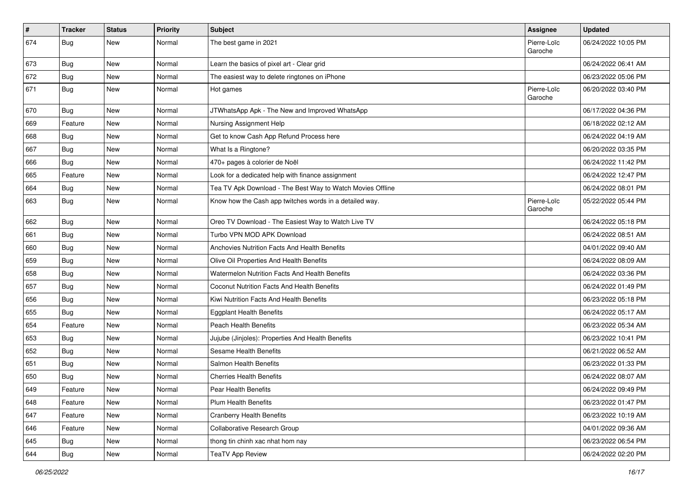| $\vert$ # | <b>Tracker</b> | <b>Status</b> | <b>Priority</b> | Subject                                                    | Assignee               | <b>Updated</b>      |
|-----------|----------------|---------------|-----------------|------------------------------------------------------------|------------------------|---------------------|
| 674       | <b>Bug</b>     | New           | Normal          | The best game in 2021                                      | Pierre-Loïc<br>Garoche | 06/24/2022 10:05 PM |
| 673       | <b>Bug</b>     | New           | Normal          | Learn the basics of pixel art - Clear grid                 |                        | 06/24/2022 06:41 AM |
| 672       | <b>Bug</b>     | New           | Normal          | The easiest way to delete ringtones on iPhone              |                        | 06/23/2022 05:06 PM |
| 671       | <b>Bug</b>     | New           | Normal          | Hot games                                                  | Pierre-Loïc<br>Garoche | 06/20/2022 03:40 PM |
| 670       | <b>Bug</b>     | New           | Normal          | JTWhatsApp Apk - The New and Improved WhatsApp             |                        | 06/17/2022 04:36 PM |
| 669       | Feature        | New           | Normal          | Nursing Assignment Help                                    |                        | 06/18/2022 02:12 AM |
| 668       | <b>Bug</b>     | New           | Normal          | Get to know Cash App Refund Process here                   |                        | 06/24/2022 04:19 AM |
| 667       | Bug            | New           | Normal          | What Is a Ringtone?                                        |                        | 06/20/2022 03:35 PM |
| 666       | <b>Bug</b>     | New           | Normal          | 470+ pages à colorier de Noël                              |                        | 06/24/2022 11:42 PM |
| 665       | Feature        | New           | Normal          | Look for a dedicated help with finance assignment          |                        | 06/24/2022 12:47 PM |
| 664       | Bug            | New           | Normal          | Tea TV Apk Download - The Best Way to Watch Movies Offline |                        | 06/24/2022 08:01 PM |
| 663       | <b>Bug</b>     | New           | Normal          | Know how the Cash app twitches words in a detailed way.    | Pierre-Loïc<br>Garoche | 05/22/2022 05:44 PM |
| 662       | Bug            | New           | Normal          | Oreo TV Download - The Easiest Way to Watch Live TV        |                        | 06/24/2022 05:18 PM |
| 661       | <b>Bug</b>     | New           | Normal          | Turbo VPN MOD APK Download                                 |                        | 06/24/2022 08:51 AM |
| 660       | Bug            | New           | Normal          | Anchovies Nutrition Facts And Health Benefits              |                        | 04/01/2022 09:40 AM |
| 659       | <b>Bug</b>     | New           | Normal          | Olive Oil Properties And Health Benefits                   |                        | 06/24/2022 08:09 AM |
| 658       | <b>Bug</b>     | New           | Normal          | Watermelon Nutrition Facts And Health Benefits             |                        | 06/24/2022 03:36 PM |
| 657       | Bug            | New           | Normal          | Coconut Nutrition Facts And Health Benefits                |                        | 06/24/2022 01:49 PM |
| 656       | <b>Bug</b>     | New           | Normal          | Kiwi Nutrition Facts And Health Benefits                   |                        | 06/23/2022 05:18 PM |
| 655       | Bug            | New           | Normal          | <b>Eggplant Health Benefits</b>                            |                        | 06/24/2022 05:17 AM |
| 654       | Feature        | New           | Normal          | Peach Health Benefits                                      |                        | 06/23/2022 05:34 AM |
| 653       | <b>Bug</b>     | New           | Normal          | Jujube (Jinjoles): Properties And Health Benefits          |                        | 06/23/2022 10:41 PM |
| 652       | Bug            | New           | Normal          | Sesame Health Benefits                                     |                        | 06/21/2022 06:52 AM |
| 651       | <b>Bug</b>     | New           | Normal          | Salmon Health Benefits                                     |                        | 06/23/2022 01:33 PM |
| 650       | <b>Bug</b>     | New           | Normal          | <b>Cherries Health Benefits</b>                            |                        | 06/24/2022 08:07 AM |
| 649       | Feature        | New           | Normal          | Pear Health Benefits                                       |                        | 06/24/2022 09:49 PM |
| 648       | Feature        | New           | Normal          | Plum Health Benefits                                       |                        | 06/23/2022 01:47 PM |
| 647       | Feature        | New           | Normal          | <b>Cranberry Health Benefits</b>                           |                        | 06/23/2022 10:19 AM |
| 646       | Feature        | New           | Normal          | Collaborative Research Group                               |                        | 04/01/2022 09:36 AM |
| 645       | Bug            | New           | Normal          | thong tin chinh xac nhat hom nay                           |                        | 06/23/2022 06:54 PM |
| 644       | <b>Bug</b>     | New           | Normal          | <b>TeaTV App Review</b>                                    |                        | 06/24/2022 02:20 PM |